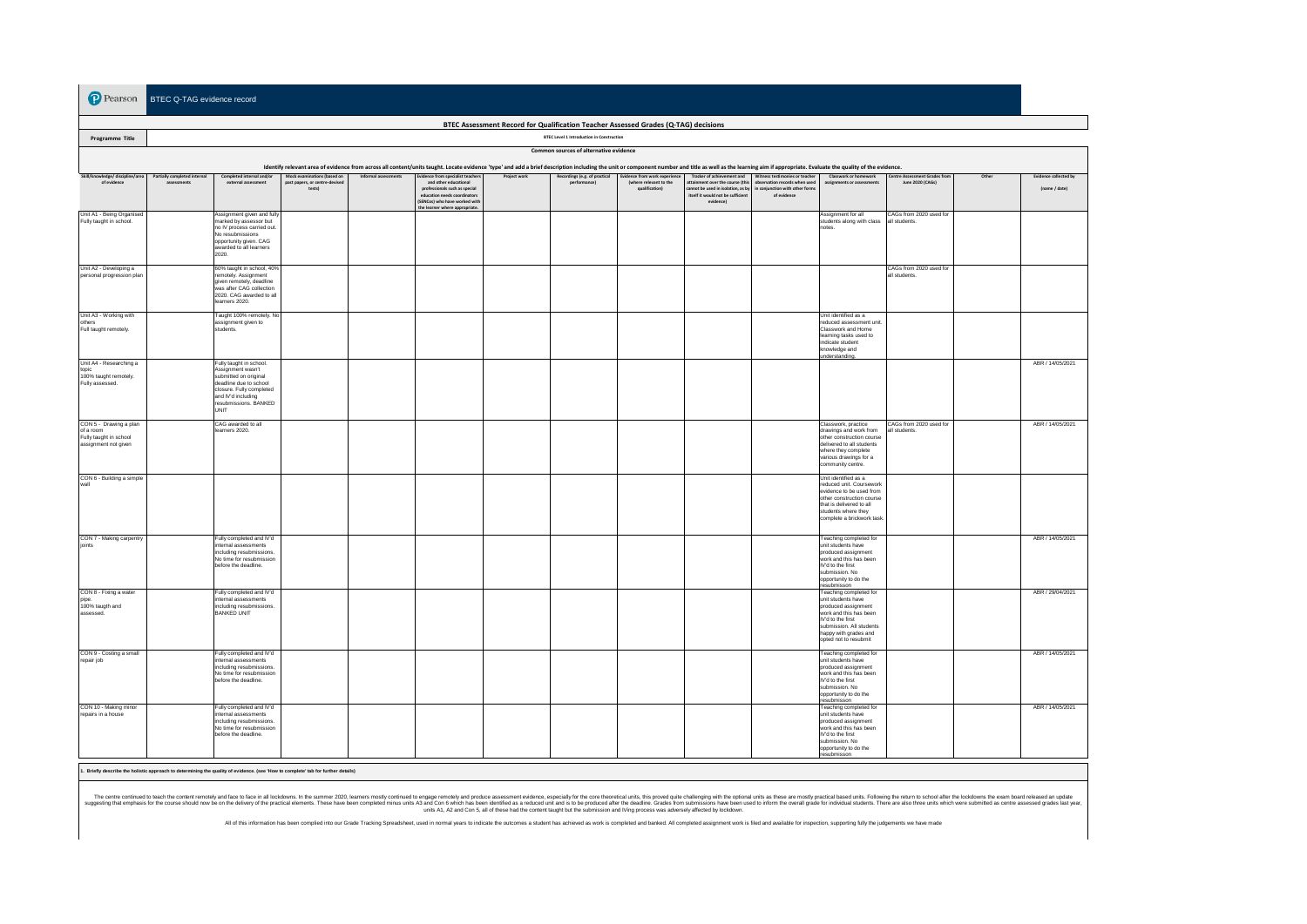**P** Pearson BTEC Q-TAG evidence record

| BTEC Assessment Record for Qualification Teacher Assessed Grades (Q-TAG) decisions                                                                                                                                                                                                                                                                                                                                                                                                                                                                                                                                                                                          |  |                                                                                                                                                                                    |                                          |  |                                                                                                                                                |  |                                                  |                                          |                                                                                                                         |                                                                                |                                                                                                                                                                                                  |                                          |  |                  |
|-----------------------------------------------------------------------------------------------------------------------------------------------------------------------------------------------------------------------------------------------------------------------------------------------------------------------------------------------------------------------------------------------------------------------------------------------------------------------------------------------------------------------------------------------------------------------------------------------------------------------------------------------------------------------------|--|------------------------------------------------------------------------------------------------------------------------------------------------------------------------------------|------------------------------------------|--|------------------------------------------------------------------------------------------------------------------------------------------------|--|--------------------------------------------------|------------------------------------------|-------------------------------------------------------------------------------------------------------------------------|--------------------------------------------------------------------------------|--------------------------------------------------------------------------------------------------------------------------------------------------------------------------------------------------|------------------------------------------|--|------------------|
| Programme Title                                                                                                                                                                                                                                                                                                                                                                                                                                                                                                                                                                                                                                                             |  |                                                                                                                                                                                    |                                          |  |                                                                                                                                                |  | <b>BTEC Level 1 Introduction in Construction</b> |                                          |                                                                                                                         |                                                                                |                                                                                                                                                                                                  |                                          |  |                  |
|                                                                                                                                                                                                                                                                                                                                                                                                                                                                                                                                                                                                                                                                             |  |                                                                                                                                                                                    |                                          |  |                                                                                                                                                |  | Common sources of alternative evidence           |                                          |                                                                                                                         |                                                                                |                                                                                                                                                                                                  |                                          |  |                  |
| Identify relevant area of evidence from across all content/units taught. Locate evidence 'type' and add a brief description including the unit or component number and title as well as the learning aim if appropriate. Evalu<br>Skill/knowledge/ discipline/area<br>Partially completed internal<br>Completed internal and/or<br>Mock examinations (based on<br>vidence from specialist teachers<br>Recordings (e.g. of practical<br>Evidence from work experience<br>Tracker of achievement and Witness testimonies or teacher<br>Classwork or homework<br>Centre Assessment Grades fro<br>Other<br><b>Evidence collected by</b><br>Informal assessments<br>Project work |  |                                                                                                                                                                                    |                                          |  |                                                                                                                                                |  |                                                  |                                          |                                                                                                                         |                                                                                |                                                                                                                                                                                                  |                                          |  |                  |
| of evidence                                                                                                                                                                                                                                                                                                                                                                                                                                                                                                                                                                                                                                                                 |  | external assessment                                                                                                                                                                | past papers, or centre-deviser<br>tests) |  | and other educational<br>professionals such as special<br>education needs coordinators<br>(SENCos) who have worked with<br>he learner where ap |  | nerformancel                                     | (where relevant to the<br>qualification) | attainment over the course (this<br>annot be used in isolation, as by<br>itself it would not be sufficient<br>evidence) | observation records when used<br>in conjunction with other form<br>of evidence | assignments or assessmen                                                                                                                                                                         | June 2020 (CAGs)                         |  | (name / date)    |
| Unit A1 - Being Organised<br>Fully taught in school.                                                                                                                                                                                                                                                                                                                                                                                                                                                                                                                                                                                                                        |  | Assignment given and fully<br>marked by assessor but<br>no IV process carried out.<br>No resubmissions<br>opportunity given. CAG<br>awarded to all learners<br>2020.               |                                          |  |                                                                                                                                                |  |                                                  |                                          |                                                                                                                         |                                                                                | Assignment for all<br>students along with class<br>notes.                                                                                                                                        | CAGs from 2020 used for<br>all students  |  |                  |
| Unit A2 - Developing a<br>personal progression plan                                                                                                                                                                                                                                                                                                                                                                                                                                                                                                                                                                                                                         |  | 60% taught in school, 40%<br>remotely. Assignment<br>given remotely, deadline<br>was after CAG collection<br>2020. CAG awarded to all<br>learners 2020.                            |                                          |  |                                                                                                                                                |  |                                                  |                                          |                                                                                                                         |                                                                                |                                                                                                                                                                                                  | CAGs from 2020 used for<br>all students. |  |                  |
| Unit A3 - Working with<br>others<br>Full taught remotely.                                                                                                                                                                                                                                                                                                                                                                                                                                                                                                                                                                                                                   |  | Taught 100% remotely. No<br>assignment given to<br>students.                                                                                                                       |                                          |  |                                                                                                                                                |  |                                                  |                                          |                                                                                                                         |                                                                                | Unit identified as a<br>reduced assessment unit<br>Classwork and Home<br>learning tasks used to<br>indicate student<br>knowledge and<br>understanding                                            |                                          |  |                  |
| Unit A4 - Researching a<br>topic<br>100% taught remotely.<br>Fully assessed.                                                                                                                                                                                                                                                                                                                                                                                                                                                                                                                                                                                                |  | Fully taught in school.<br>Assignment wasn't<br>submitted on original<br>deadline due to school<br>closure. Fully completed<br>and IV'd including<br>resubmissions. BANKED<br>UNIT |                                          |  |                                                                                                                                                |  |                                                  |                                          |                                                                                                                         |                                                                                |                                                                                                                                                                                                  |                                          |  | ABR / 14/05/2021 |
| CON 5 - Drawing a plan<br>of a room<br>Fully taught in school<br>assignment not given                                                                                                                                                                                                                                                                                                                                                                                                                                                                                                                                                                                       |  | CAG awarded to all<br>learners 2020.                                                                                                                                               |                                          |  |                                                                                                                                                |  |                                                  |                                          |                                                                                                                         |                                                                                | Classwork, practice<br>drawings and work from<br>other construction course<br>delivered to all students<br>where they complete<br>various drawings for a<br>community centre.                    | CAGs from 2020 used for<br>all students. |  | ABR / 14/05/2021 |
| CON 6 - Building a simple<br>vall                                                                                                                                                                                                                                                                                                                                                                                                                                                                                                                                                                                                                                           |  |                                                                                                                                                                                    |                                          |  |                                                                                                                                                |  |                                                  |                                          |                                                                                                                         |                                                                                | Unit identified as a<br>reduced unit. Coursewor<br>evidence to be used from<br>other construction course<br>that is delivered to all<br>students where they<br>complete a brickwork task         |                                          |  |                  |
| CON 7 - Making carpentry<br>joints                                                                                                                                                                                                                                                                                                                                                                                                                                                                                                                                                                                                                                          |  | Fully completed and IV'd<br>internal assessments<br>including resubmissions.<br>No time for resubmission<br>before the deadline.                                                   |                                          |  |                                                                                                                                                |  |                                                  |                                          |                                                                                                                         |                                                                                | Teaching completed for<br>unit students have<br>produced assignment<br>work and this has been<br>IV'd to the first<br>submission. No<br>opportunity to do the<br>resubmisson                     |                                          |  | ABR / 14/05/2021 |
| CON 8 - Fixing a water<br>pipe.<br>100% taugth and<br>assessed.                                                                                                                                                                                                                                                                                                                                                                                                                                                                                                                                                                                                             |  | Fully completed and IV'd<br>internal assessments<br>including resubmissions.<br>BANKED UNIT                                                                                        |                                          |  |                                                                                                                                                |  |                                                  |                                          |                                                                                                                         |                                                                                | Teaching completed for<br>unit students have<br>produced assignment<br>work and this has been<br>IV'd to the first<br>submission. All students<br>happy with grades and<br>opted not to resubmit |                                          |  | ABR / 29/04/2021 |
| CON 9 - Costing a small<br>repair job                                                                                                                                                                                                                                                                                                                                                                                                                                                                                                                                                                                                                                       |  | Fully completed and IV'd<br>internal assessments<br>including resubmissions.<br>No time for resubmission<br>before the deadline.                                                   |                                          |  |                                                                                                                                                |  |                                                  |                                          |                                                                                                                         |                                                                                | Teaching completed for<br>unit students have<br>produced assignment<br>work and this has been<br>IV'd to the first<br>submission. No<br>opportunity to do the<br>resubmisson                     |                                          |  | ABR / 14/05/2021 |
| CON 10 - Making minor<br>repairs in a house                                                                                                                                                                                                                                                                                                                                                                                                                                                                                                                                                                                                                                 |  | Fully completed and IV'd<br>internal assessments<br>including resubmissions.<br>No time for resubmission<br>before the deadline.                                                   |                                          |  |                                                                                                                                                |  |                                                  |                                          |                                                                                                                         |                                                                                | Teaching completed for<br>unit students have<br>produced assignment<br>work and this has been<br>M'd to the first<br>submission. No<br>opportunity to do the<br>resubmisson                      |                                          |  | ABR / 14/05/2021 |

**1. Briefly describe the holistic approach to determining the quality of evidence. (see 'How to complete' tab for further details)**

The centre confund to teach the content memblem and case in all lockdowns. In the summer 2020, learnes mostly confund to engage remotely and produce assessment evideon, especially for the constructuality into produce all a

All of this information has been complied into our Grade Tracking Spreadsheet, used in normal years to indicate the outcomes a student has achieved as work is completed and banked. All completed assignment work is filed an